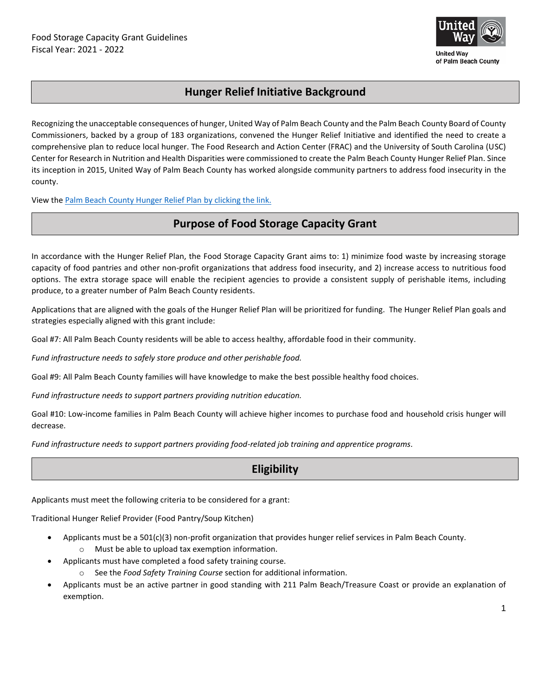

# **Hunger Relief Initiative Background**

Recognizing the unacceptable consequences of hunger, United Way of Palm Beach County and the Palm Beach County Board of County Commissioners, backed by a group of 183 organizations, convened the Hunger Relief Initiative and identified the need to create a comprehensive plan to reduce local hunger. The Food Research and Action Center (FRAC) and the University of South Carolina (USC) Center for Research in Nutrition and Health Disparities were commissioned to create the Palm Beach County Hunger Relief Plan. Since its inception in 2015, United Way of Palm Beach County has worked alongside community partners to address food insecurity in the county.

View the [Palm Beach County Hunger Relief Plan](https://unitedwaypbc.org/wp-content/uploads/2018/08/Palm-Beach-County-Hunger-Relief-Strategic-Plan1.pdf) by clicking the link.

# **Purpose of Food Storage Capacity Grant**

In accordance with the Hunger Relief Plan, the Food Storage Capacity Grant aims to: 1) minimize food waste by increasing storage capacity of food pantries and other non-profit organizations that address food insecurity, and 2) increase access to nutritious food options. The extra storage space will enable the recipient agencies to provide a consistent supply of perishable items, including produce, to a greater number of Palm Beach County residents.

Applications that are aligned with the goals of the Hunger Relief Plan will be prioritized for funding. The Hunger Relief Plan goals and strategies especially aligned with this grant include:

Goal #7: All Palm Beach County residents will be able to access healthy, affordable food in their community.

*Fund infrastructure needs to safely store produce and other perishable food.* 

Goal #9: All Palm Beach County families will have knowledge to make the best possible healthy food choices.

*Fund infrastructure needs to support partners providing nutrition education.* 

Goal #10: Low-income families in Palm Beach County will achieve higher incomes to purchase food and household crisis hunger will decrease.

*Fund infrastructure needs to support partners providing food-related job training and apprentice programs.* 

# **Eligibility**

Applicants must meet the following criteria to be considered for a grant:

Traditional Hunger Relief Provider (Food Pantry/Soup Kitchen)

- Applicants must be a 501(c)(3) non-profit organization that provides hunger relief services in Palm Beach County. o Must be able to upload tax exemption information.
- Applicants must have completed a food safety training course.
	- o See the *Food Safety Training Course* section for additional information.
- Applicants must be an active partner in good standing with 211 Palm Beach/Treasure Coast or provide an explanation of exemption.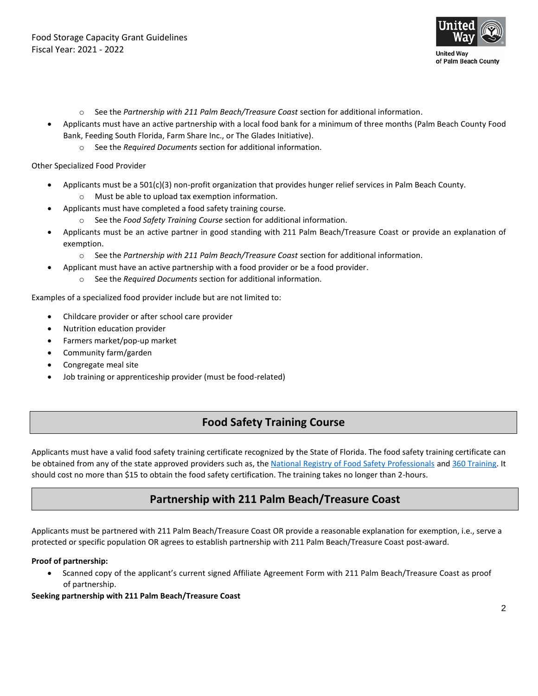

- o See the *Partnership with 211 Palm Beach/Treasure Coast* section for additional information.
- Applicants must have an active partnership with a local food bank for a minimum of three months (Palm Beach County Food Bank, Feeding South Florida, Farm Share Inc., or The Glades Initiative).
	- o See the *Required Documents* section for additional information.

Other Specialized Food Provider

- Applicants must be a 501(c)(3) non-profit organization that provides hunger relief services in Palm Beach County.
	- o Must be able to upload tax exemption information.
- Applicants must have completed a food safety training course.
	- o See the *Food Safety Training Course* section for additional information.
- Applicants must be an active partner in good standing with 211 Palm Beach/Treasure Coast or provide an explanation of exemption.
	- o See the *Partnership with 211 Palm Beach/Treasure Coast* section for additional information.
- Applicant must have an active partnership with a food provider or be a food provider.
	- o See the *Required Documents* section for additional information.

Examples of a specialized food provider include but are not limited to:

- Childcare provider or after school care provider
- Nutrition education provider
- Farmers market/pop-up market
- Community farm/garden

• Special diet food provider

- Congregate meal site
- Job training or apprenticeship provider (must be food-related)

### **Food Safety Training Course**

Applicants must have a valid food safety training certificate recognized by the State of Florida. The food safety training certificate can be obtained from any of the state approved providers such as, the [National Registry of Food Safety Professionals](https://www.usfoodhandler.com/) an[d 360 Training.](https://www.360training.com/food-beverage-programs/food-handlers-certificate/florida-food-handler-certificate) It should cost no more than \$15 to obtain the food safety certification. The training takes no longer than 2-hours.

### **Partnership with 211 Palm Beach/Treasure Coast**

Applicants must be partnered with 211 Palm Beach/Treasure Coast OR provide a reasonable explanation for exemption, i.e., serve a protected or specific population OR agrees to establish partnership with 211 Palm Beach/Treasure Coast post-award.

#### **Proof of partnership:**

• Scanned copy of the applicant's current signed Affiliate Agreement Form with 211 Palm Beach/Treasure Coast as proof of partnership.

#### **Seeking partnership with 211 Palm Beach/Treasure Coast**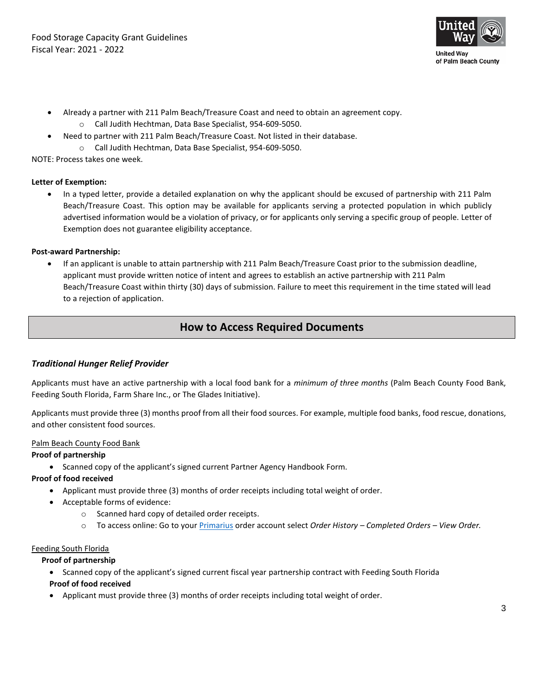

- Already a partner with 211 Palm Beach/Treasure Coast and need to obtain an agreement copy.
	- o Call Judith Hechtman, Data Base Specialist, 954-609-5050.
- Need to partner with 211 Palm Beach/Treasure Coast. Not listed in their database.
	- o Call Judith Hechtman, Data Base Specialist, 954-609-5050.

NOTE: Process takes one week.

#### **Letter of Exemption:**

• In a typed letter, provide a detailed explanation on why the applicant should be excused of partnership with 211 Palm Beach/Treasure Coast. This option may be available for applicants serving a protected population in which publicly advertised information would be a violation of privacy, or for applicants only serving a specific group of people. Letter of Exemption does not guarantee eligibility acceptance.

#### **Post-award Partnership:**

• If an applicant is unable to attain partnership with 211 Palm Beach/Treasure Coast prior to the submission deadline, applicant must provide written notice of intent and agrees to establish an active partnership with 211 Palm Beach/Treasure Coast within thirty (30) days of submission. Failure to meet this requirement in the time stated will lead to a rejection of application.

### **How to Access Required Documents**

#### *Traditional Hunger Relief Provider*

Applicants must have an active partnership with a local food bank for a *minimum of three months* (Palm Beach County Food Bank, Feeding South Florida, Farm Share Inc., or The Glades Initiative).

Applicants must provide three (3) months proof from all their food sources. For example, multiple food banks, food rescue, donations, and other consistent food sources.

#### Palm Beach County Food Bank

#### **Proof of partnership**

• Scanned copy of the applicant's signed current Partner Agency Handbook Form.

#### **Proof of food received**

- Applicant must provide three (3) months of order receipts including total weight of order.
- Acceptable forms of evidence:
	- o Scanned hard copy of detailed order receipts.
	- o To access online: Go to your [Primarius](https://pbcfoodbank.primarius.app/pww/Home/Login/) order account select *Order History – Completed Orders – View Order.*

#### Feeding South Florida

#### **Proof of partnership**

- Scanned copy of the applicant's signed current fiscal year partnership contract with Feeding South Florida **Proof of food received**
- Applicant must provide three (3) months of order receipts including total weight of order.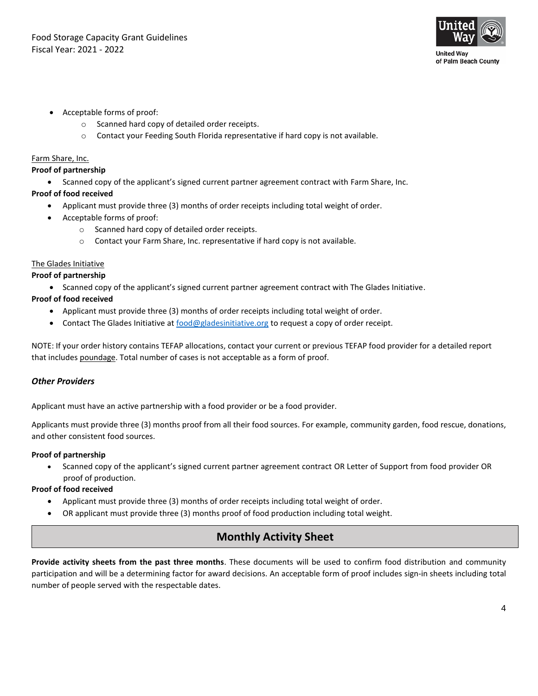

- Acceptable forms of proof:
	- o Scanned hard copy of detailed order receipts.
	- o Contact your Feeding South Florida representative if hard copy is not available.

#### Farm Share, Inc.

#### **Proof of partnership**

• Scanned copy of the applicant's signed current partner agreement contract with Farm Share, Inc.

#### **Proof of food received**

- Applicant must provide three (3) months of order receipts including total weight of order.
- Acceptable forms of proof:
	- o Scanned hard copy of detailed order receipts.
	- o Contact your Farm Share, Inc. representative if hard copy is not available.

#### The Glades Initiative

#### **Proof of partnership**

• Scanned copy of the applicant's signed current partner agreement contract with The Glades Initiative.

#### **Proof of food received**

- Applicant must provide three (3) months of order receipts including total weight of order.
- Contact The Glades Initiative a[t food@gladesinitiative.org](mailto:food@gladesinitiative.org) to request a copy of order receipt.

NOTE: If your order history contains TEFAP allocations, contact your current or previous TEFAP food provider for a detailed report that includes poundage. Total number of cases is not acceptable as a form of proof.

#### *Other Providers*

Applicant must have an active partnership with a food provider or be a food provider.

Applicants must provide three (3) months proof from all their food sources. For example, community garden, food rescue, donations, and other consistent food sources.

#### **Proof of partnership**

• Scanned copy of the applicant's signed current partner agreement contract OR Letter of Support from food provider OR proof of production.

#### **Proof of food received**

- Applicant must provide three (3) months of order receipts including total weight of order.
- OR applicant must provide three (3) months proof of food production including total weight.

# **Monthly Activity Sheet**

**Provide activity sheets from the past three months**. These documents will be used to confirm food distribution and community participation and will be a determining factor for award decisions. An acceptable form of proof includes sign-in sheets including total number of people served with the respectable dates.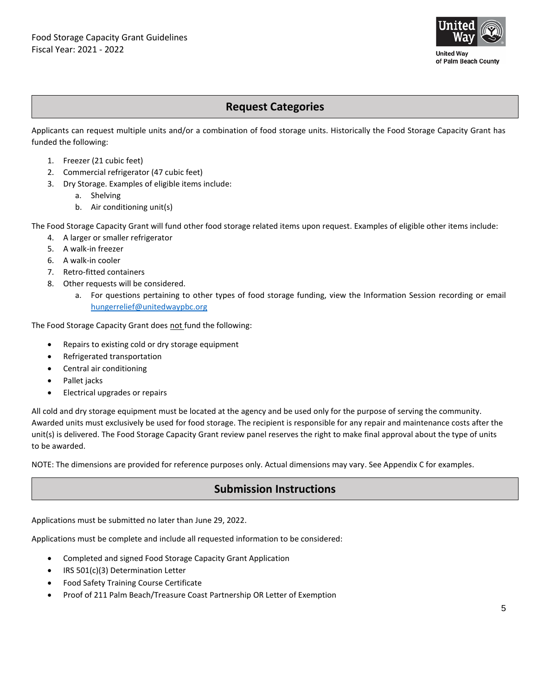

## **Request Categories**

Applicants can request multiple units and/or a combination of food storage units. Historically the Food Storage Capacity Grant has funded the following:

- 1. Freezer (21 cubic feet)
- 2. Commercial refrigerator (47 cubic feet)
- 3. Dry Storage. Examples of eligible items include:
	- a. Shelving
	- b. Air conditioning unit(s)

The Food Storage Capacity Grant will fund other food storage related items upon request. Examples of eligible other items include:

- 4. A larger or smaller refrigerator
- 5. A walk-in freezer
- 6. A walk-in cooler
- 7. Retro-fitted containers
- 8. Other requests will be considered.
	- a. For questions pertaining to other types of food storage funding, view the Information Session recording or email [hungerrelief@unitedwaypbc.org](mailto:hungerrelief@unitedwaypbc.org)

The Food Storage Capacity Grant does not fund the following:

- Repairs to existing cold or dry storage equipment
- Refrigerated transportation
- Central air conditioning
- Pallet jacks
- Electrical upgrades or repairs

All cold and dry storage equipment must be located at the agency and be used only for the purpose of serving the community. Awarded units must exclusively be used for food storage. The recipient is responsible for any repair and maintenance costs after the unit(s) is delivered. The Food Storage Capacity Grant review panel reserves the right to make final approval about the type of units to be awarded.

NOTE: The dimensions are provided for reference purposes only. Actual dimensions may vary. See Appendix C for examples.

# **Submission Instructions**

Applications must be submitted no later than June 29, 2022.

Applications must be complete and include all requested information to be considered:

- Completed and signed Food Storage Capacity Grant Application
- IRS 501(c)(3) Determination Letter
- Food Safety Training Course Certificate
- Proof of 211 Palm Beach/Treasure Coast Partnership OR Letter of Exemption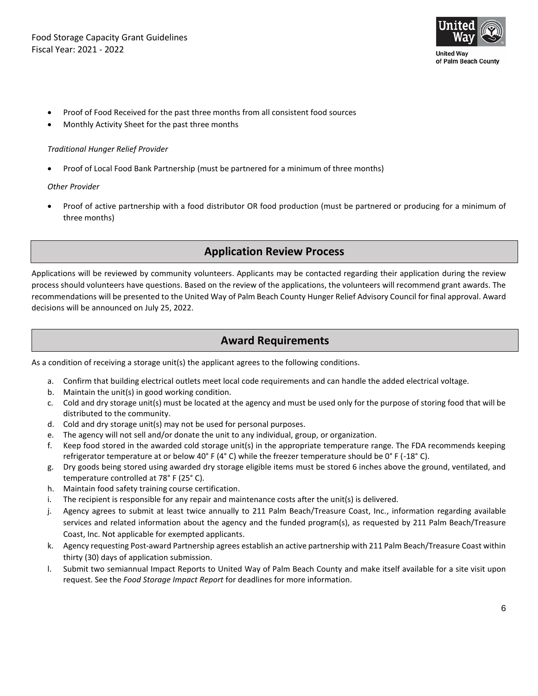

- Proof of Food Received for the past three months from all consistent food sources
- Monthly Activity Sheet for the past three months

#### *Traditional Hunger Relief Provider*

• Proof of Local Food Bank Partnership (must be partnered for a minimum of three months)

#### *Other Provider*

• Proof of active partnership with a food distributor OR food production (must be partnered or producing for a minimum of three months)

### **Application Review Process**

Applications will be reviewed by community volunteers. Applicants may be contacted regarding their application during the review process should volunteers have questions. Based on the review of the applications, the volunteers will recommend grant awards. The recommendations will be presented to the United Way of Palm Beach County Hunger Relief Advisory Council for final approval. Award decisions will be announced on July 25, 2022.

# **Award Requirements**

As a condition of receiving a storage unit(s) the applicant agrees to the following conditions.

- a. Confirm that building electrical outlets meet local code requirements and can handle the added electrical voltage.
- b. Maintain the unit(s) in good working condition.
- c. Cold and dry storage unit(s) must be located at the agency and must be used only for the purpose of storing food that will be distributed to the community.
- d. Cold and dry storage unit(s) may not be used for personal purposes.
- e. The agency will not sell and/or donate the unit to any individual, group, or organization.
- f. Keep food stored in the awarded cold storage unit(s) in the appropriate temperature range. The FDA recommends keeping refrigerator temperature at or below 40° F (4° C) while the freezer temperature should be 0° F (-18° C).
- g. Dry goods being stored using awarded dry storage eligible items must be stored 6 inches above the ground, ventilated, and temperature controlled at 78° F (25° C).
- h. Maintain food safety training course certification.
- i. The recipient is responsible for any repair and maintenance costs after the unit(s) is delivered.
- j. Agency agrees to submit at least twice annually to 211 Palm Beach/Treasure Coast, Inc., information regarding available services and related information about the agency and the funded program(s), as requested by 211 Palm Beach/Treasure Coast, Inc. Not applicable for exempted applicants.
- k. Agency requesting Post-award Partnership agrees establish an active partnership with 211 Palm Beach/Treasure Coast within thirty (30) days of application submission.
- l. Submit two semiannual Impact Reports to United Way of Palm Beach County and make itself available for a site visit upon request. See the *Food Storage Impact Report* for deadlines for more information.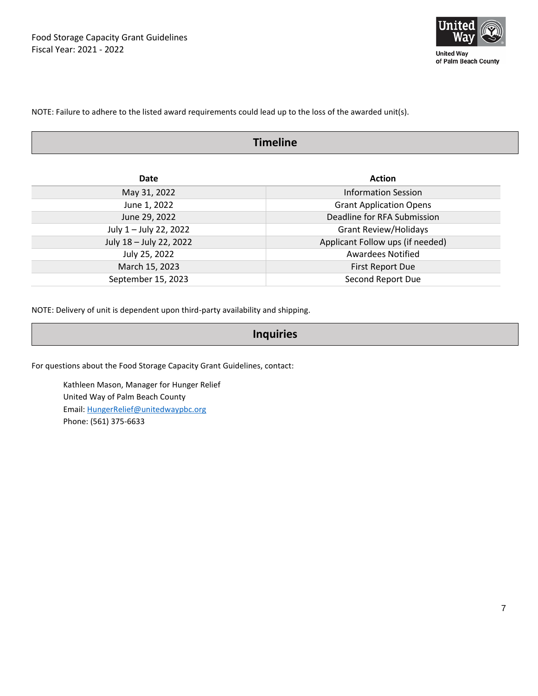

NOTE: Failure to adhere to the listed award requirements could lead up to the loss of the awarded unit(s).

# **Timeline**

| Date                    | <b>Action</b>                    |  |  |
|-------------------------|----------------------------------|--|--|
| May 31, 2022            | <b>Information Session</b>       |  |  |
| June 1, 2022            | <b>Grant Application Opens</b>   |  |  |
| June 29, 2022           | Deadline for RFA Submission      |  |  |
| July 1 - July 22, 2022  | <b>Grant Review/Holidays</b>     |  |  |
| July 18 - July 22, 2022 | Applicant Follow ups (if needed) |  |  |
| July 25, 2022           | <b>Awardees Notified</b>         |  |  |
| March 15, 2023          | <b>First Report Due</b>          |  |  |
| September 15, 2023      | Second Report Due                |  |  |

NOTE: Delivery of unit is dependent upon third-party availability and shipping.

### **Inquiries**

For questions about the Food Storage Capacity Grant Guidelines, contact:

Kathleen Mason, Manager for Hunger Relief United Way of Palm Beach County Email: [HungerRelief@unitedwaypbc.org](mailto:HungerRelief@unitedwaypbc.org) Phone: (561) 375-6633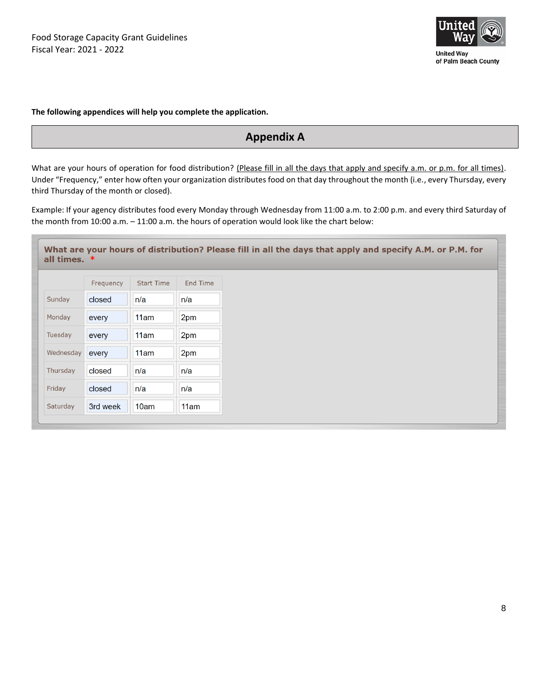

**The following appendices will help you complete the application.**

# **Appendix A**

What are your hours of operation for food distribution? (Please fill in all the days that apply and specify a.m. or p.m. for all times). Under "Frequency," enter how often your organization distributes food on that day throughout the month (i.e., every Thursday, every third Thursday of the month or closed).

Example: If your agency distributes food every Monday through Wednesday from 11:00 a.m. to 2:00 p.m. and every third Saturday of the month from 10:00 a.m. – 11:00 a.m. the hours of operation would look like the chart below:

| What are your hours of distribution? Please fill in all the days that apply and specify A.M. or P.M. for<br>all times. $*$ |           |                   |                 |  |  |  |  |  |
|----------------------------------------------------------------------------------------------------------------------------|-----------|-------------------|-----------------|--|--|--|--|--|
|                                                                                                                            | Frequency | <b>Start Time</b> | <b>End Time</b> |  |  |  |  |  |
| Sunday                                                                                                                     | closed    | n/a               | n/a             |  |  |  |  |  |
| Monday                                                                                                                     | every     | 11am              | 2pm             |  |  |  |  |  |
| Tuesday                                                                                                                    | every     | 11am              | 2pm             |  |  |  |  |  |
| Wednesday                                                                                                                  | every     | 11am              | 2pm             |  |  |  |  |  |
| Thursday                                                                                                                   | closed    | n/a               | n/a             |  |  |  |  |  |
| Friday                                                                                                                     | closed    | n/a               | n/a             |  |  |  |  |  |
| Saturday                                                                                                                   | 3rd week  | 10am              | 11am            |  |  |  |  |  |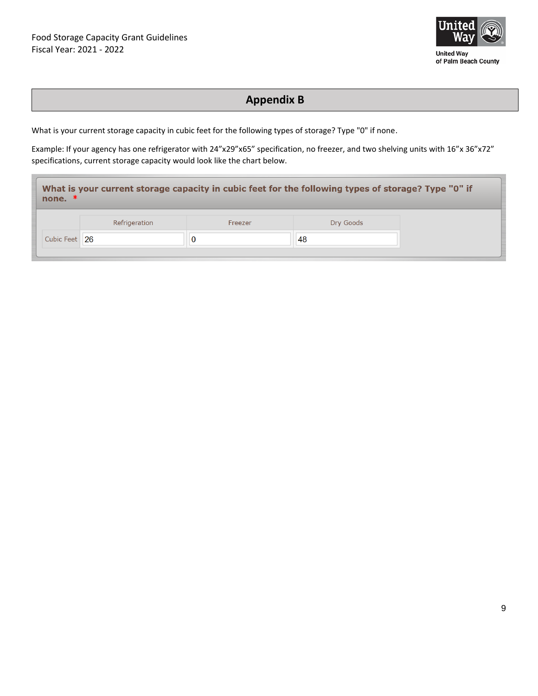

**Appendix B**

What is your current storage capacity in cubic feet for the following types of storage? Type "0" if none.

Example: If your agency has one refrigerator with 24"x29"x65" specification, no freezer, and two shelving units with 16"x 36"x72" specifications, current storage capacity would look like the chart below.

| What is your current storage capacity in cubic feet for the following types of storage? Type "0" if<br>none. $*$ |               |         |           |  |  |  |  |  |
|------------------------------------------------------------------------------------------------------------------|---------------|---------|-----------|--|--|--|--|--|
|                                                                                                                  | Refrigeration | Freezer | Dry Goods |  |  |  |  |  |
| Cubic Feet   26                                                                                                  |               | υ       | 48        |  |  |  |  |  |
|                                                                                                                  |               |         |           |  |  |  |  |  |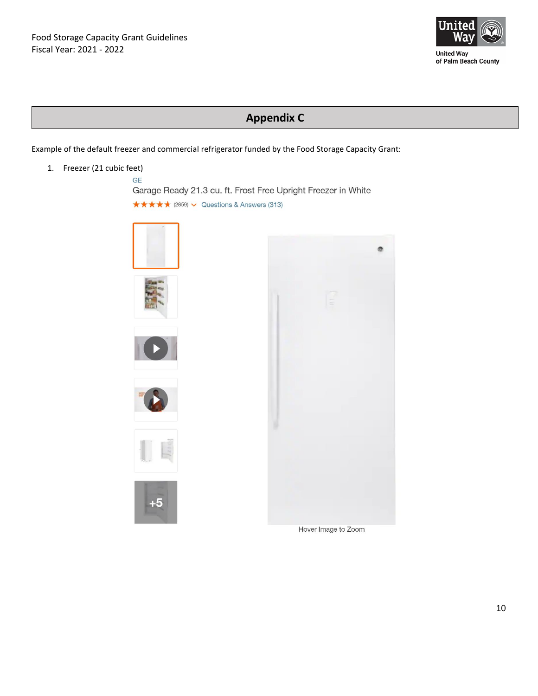